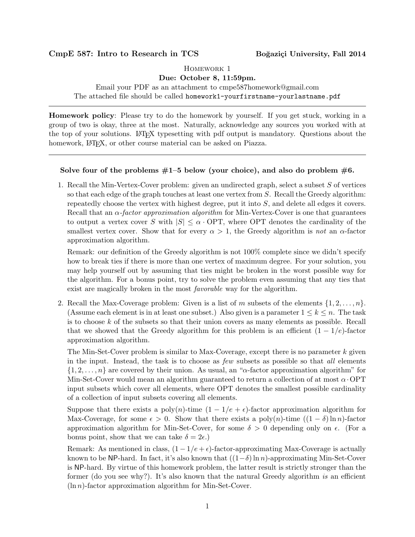## CmpE 587: Intro to Research in TCS Boğaziçi University, Fall 2014

Homework 1

Due: October 8, 11:59pm.

Email your PDF as an attachment to cmpe587homework@gmail.com

The attached file should be called homework1-yourfirstname-yourlastname.pdf

Homework policy: Please try to do the homework by yourself. If you get stuck, working in a group of two is okay, three at the most. Naturally, acknowledge any sources you worked with at the top of your solutions. LATEX typesetting with pdf output is mandatory. Questions about the homework, LAT<sub>E</sub>X, or other course material can be asked on Piazza.

## Solve four of the problems  $#1-5$  below (your choice), and also do problem  $#6$ .

1. Recall the Min-Vertex-Cover problem: given an undirected graph, select a subset S of vertices so that each edge of the graph touches at least one vertex from  $S$ . Recall the Greedy algorithm: repeatedly choose the vertex with highest degree, put it into S, and delete all edges it covers. Recall that an  $\alpha$ -factor approximation algorithm for Min-Vertex-Cover is one that guarantees to output a vertex cover S with  $|S| \leq \alpha$ . OPT, where OPT denotes the cardinality of the smallest vertex cover. Show that for every  $\alpha > 1$ , the Greedy algorithm is not an  $\alpha$ -factor approximation algorithm.

Remark: our definition of the Greedy algorithm is not 100% complete since we didn't specify how to break ties if there is more than one vertex of maximum degree. For your solution, you may help yourself out by assuming that ties might be broken in the worst possible way for the algorithm. For a bonus point, try to solve the problem even assuming that any ties that exist are magically broken in the most *favorable* way for the algorithm.

2. Recall the Max-Coverage problem: Given is a list of m subsets of the elements  $\{1, 2, \ldots, n\}$ . (Assume each element is in at least one subset.) Also given is a parameter  $1 \leq k \leq n$ . The task is to choose k of the subsets so that their union covers as many elements as possible. Recall that we showed that the Greedy algorithm for this problem is an efficient  $(1 - 1/e)$ -factor approximation algorithm.

The Min-Set-Cover problem is similar to Max-Coverage, except there is no parameter k given in the input. Instead, the task is to choose as few subsets as possible so that all elements  $\{1, 2, \ldots, n\}$  are covered by their union. As usual, an " $\alpha$ -factor approximation algorithm" for Min-Set-Cover would mean an algorithm guaranteed to return a collection of at most  $\alpha$  OPT input subsets which cover all elements, where OPT denotes the smallest possible cardinality of a collection of input subsets covering all elements.

Suppose that there exists a poly(n)-time  $(1 - 1/e + \epsilon)$ -factor approximation algorithm for Max-Coverage, for some  $\epsilon > 0$ . Show that there exists a poly $(n)$ -time  $((1 - \delta) \ln n)$ -factor approximation algorithm for Min-Set-Cover, for some  $\delta > 0$  depending only on  $\epsilon$ . (For a bonus point, show that we can take  $\delta = 2\epsilon$ .)

Remark: As mentioned in class,  $(1 - 1/e + \epsilon)$ -factor-approximating Max-Coverage is actually known to be NP-hard. In fact, it's also known that  $((1-\delta)\ln n)$ -approximating Min-Set-Cover is NP-hard. By virtue of this homework problem, the latter result is strictly stronger than the former (do you see why?). It's also known that the natural Greedy algorithm is an efficient  $(\ln n)$ -factor approximation algorithm for Min-Set-Cover.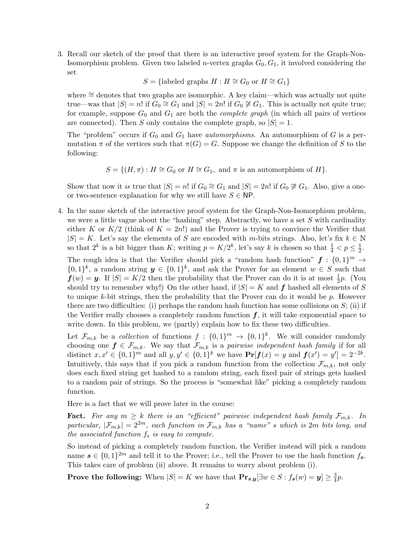3. Recall our sketch of the proof that there is an interactive proof system for the Graph-Non-Isomorphism problem. Given two labeled *n*-vertex graphs  $G_0, G_1$ , it involved considering the set

 $S = \{\text{labeled graphs } H : H \cong G_0 \text{ or } H \cong G_1\}$ 

where ≅ denotes that two graphs are isomorphic. A key claim—which was actually not quite true—was that  $|S| = n!$  if  $G_0 \cong G_1$  and  $|S| = 2n!$  if  $G_0 \not\cong G_1$ . This is actually not quite true; for example, suppose  $G_0$  and  $G_1$  are both the *complete graph* (in which all pairs of vertices are connected). Then S only contains the complete graph, so  $|S| = 1$ .

The "problem" occurs if  $G_0$  and  $G_1$  have *automorphisms*. An automorphism of G is a permutation  $\pi$  of the vertices such that  $\pi(G) = G$ . Suppose we change the definition of S to the following:

$$
S = \{(H, \pi) : H \cong G_0 \text{ or } H \cong G_1, \text{ and } \pi \text{ is an automorphism of } H\}.
$$

Show that now it is true that  $|S| = n!$  if  $G_0 \cong G_1$  and  $|S| = 2n!$  if  $G_0 \not\cong G_1$ . Also, give a oneor two-sentence explanation for why we still have  $S \in \mathsf{NP}$ .

4. In the same sketch of the interactive proof system for the Graph-Non-Isomorphism problem, we were a little vague about the "hashing" step. Abstractly, we have a set  $S$  with cardinality either K or  $K/2$  (think of  $K = 2n!$ ) and the Prover is trying to convince the Verifier that  $|S| = K$ . Let's say the elements of S are encoded with m-bits strings. Also, let's fix  $k \in \mathbb{N}$ so that  $2^k$  is a bit bigger than K; writing  $p = K/2^k$ , let's say k is chosen so that  $\frac{1}{4} < p \le \frac{1}{2}$  $\frac{1}{2}$ . The rough idea is that the Verifier should pick a "random hash function"  $f : \{0,1\}^m \rightarrow$  $\{0,1\}^k$ , a random string  $y \in \{0,1\}^k$ , and ask the Prover for an element  $w \in S$  such that  $f(w) = y$ . If  $|S| = K/2$  then the probability that the Prover can do it is at most  $\frac{1}{2}p$ . (You should try to remember why!) On the other hand, if  $|S| = K$  and f hashed all elements of S to unique k-bit strings, then the probability that the Prover can do it would be p. However there are two difficulties: (i) perhaps the random hash function has some collisions on  $S$ ; (ii) if the Verifier really chooses a completely random function  $f$ , it will take exponential space to

Let  $\mathcal{F}_{m,k}$  be a collection of functions  $f: \{0,1\}^m \to \{0,1\}^k$ . We will consider randomly choosing one  $f \in \mathcal{F}_{m,k}$ . We say that  $\mathcal{F}_{m,k}$  is a pairwise independent hash family if for all distinct  $x, x' \in \{0, 1\}^m$  and all  $y, y' \in \{0, 1\}^k$  we have  $\Pr[f(x) = y]$  and  $f(x') = y' = 2^{-2k}$ . Intuitively, this says that if you pick a random function from the collection  $\mathcal{F}_{m,k}$ , not only does each fixed string get hashed to a random string, each fixed pair of strings gets hashed to a random pair of strings. So the process is "somewhat like" picking a completely random function.

write down. In this problem, we (partly) explain how to fix these two difficulties.

Here is a fact that we will prove later in the course:

**Fact.** For any  $m \geq k$  there is an "efficient" pairwise independent hash family  $\mathcal{F}_{m,k}$ . In particular,  $|\mathcal{F}_{m,k}| = 2^{2m}$ , each function in  $\mathcal{F}_{m,k}$  has a "name" s which is 2m bits long, and the associated function  $f_s$  is easy to compute.

So instead of picking a completely random function, the Verifier instead will pick a random name  $s \in \{0,1\}^{2m}$  and tell it to the Prover; i.e., tell the Prover to use the hash function  $f_s$ . This takes care of problem (ii) above. It remains to worry about problem (i).

**Prove the following:** When  $|S| = K$  we have that  $\mathbf{Pr}_{s,y}[\exists w \in S : f_s(w) = y] \ge \frac{3}{4}$  $\frac{3}{4}p.$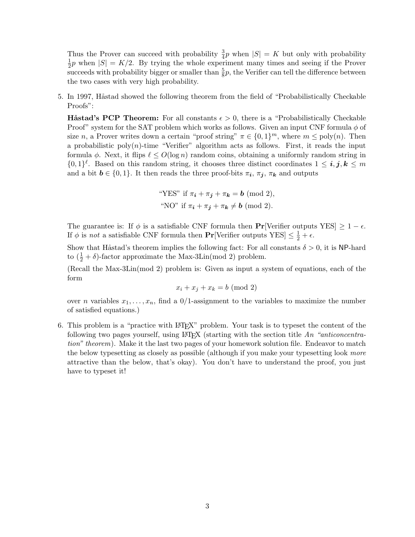Thus the Prover can succeed with probability  $\frac{3}{4}p$  when  $|S| = K$  but only with probability 1  $\frac{1}{2}p$  when  $|S| = K/2$ . By trying the whole experiment many times and seeing if the Prover succeeds with probability bigger or smaller than  $\frac{5}{8}p$ , the Verifier can tell the difference between the two cases with very high probability.

5. In 1997, Håstad showed the following theorem from the field of "Probabilistically Checkable Proofs":

**Håstad's PCP Theorem:** For all constants  $\epsilon > 0$ , there is a "Probabilistically Checkable Proof" system for the SAT problem which works as follows. Given an input CNF formula  $\phi$  of size n, a Prover writes down a certain "proof string"  $\pi \in \{0,1\}^m$ , where  $m \leq \text{poly}(n)$ . Then a probabilistic poly $(n)$ -time "Verifier" algorithm acts as follows. First, it reads the input formula  $\phi$ . Next, it flips  $\ell \le O(\log n)$  random coins, obtaining a uniformly random string in  $\{0,1\}^{\ell}$ . Based on this random string, it chooses three distinct coordinates  $1 \leq i, j, k \leq m$ and a bit  $\mathbf{b} \in \{0,1\}$ . It then reads the three proof-bits  $\pi_{\mathbf{i}}, \pi_{\mathbf{j}}, \pi_{\mathbf{k}}$  and outputs

"YES" if 
$$
\pi_i + \pi_j + \pi_k = b \pmod{2}
$$
,  
"NO" if  $\pi_i + \pi_j + \pi_k \neq b \pmod{2}$ .

The guarantee is: If  $\phi$  is a satisfiable CNF formula then **Pr**[Verifier outputs YES]  $\geq 1 - \epsilon$ . If  $\phi$  is *not* a satisfiable CNF formula then **Pr**[Verifier outputs YES]  $\leq \frac{1}{2} + \epsilon$ .

Show that Håstad's theorem implies the following fact: For all constants  $\delta > 0$ , it is NP-hard to  $(\frac{1}{2} + \delta)$ -factor approximate the Max-3Lin(mod 2) problem.

(Recall the Max-3Lin(mod 2) problem is: Given as input a system of equations, each of the form

$$
x_i + x_j + x_k = b \pmod{2}
$$

over *n* variables  $x_1, \ldots, x_n$ , find a  $0/1$ -assignment to the variables to maximize the number of satisfied equations.)

6. This problem is a "practice with LATEX" problem. Your task is to typeset the content of the following two pages yourself, using LAT<sub>EX</sub> (starting with the section title An "anticoncentration" theorem). Make it the last two pages of your homework solution file. Endeavor to match the below typesetting as closely as possible (although if you make your typesetting look more attractive than the below, that's okay). You don't have to understand the proof, you just have to typeset it!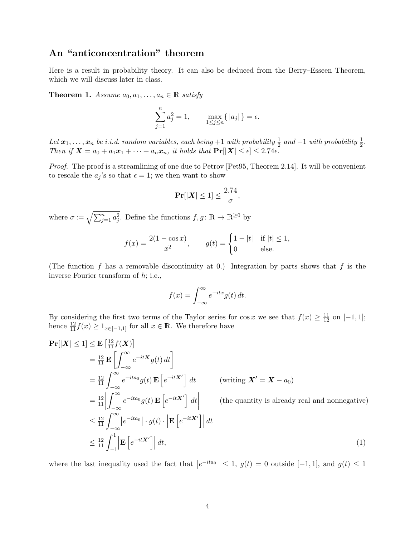## An "anticoncentration" theorem

Here is a result in probability theory. It can also be deduced from the Berry–Esseen Theorem, which we will discuss later in class.

**Theorem 1.** Assume  $a_0, a_1, \ldots, a_n \in \mathbb{R}$  satisfy

$$
\sum_{j=1}^{n} a_j^2 = 1, \qquad \max_{1 \le j \le n} \{ |a_j| \} = \epsilon.
$$

Let  $x_1, \ldots, x_n$  be i.i.d. random variables, each being  $+1$  with probability  $\frac{1}{2}$  and  $-1$  with probability  $\frac{1}{2}$ . Then if  $X = a_0 + a_1x_1 + \cdots + a_nx_n$ , it holds that  $\Pr[|X| \leq \epsilon] \leq 2.74\epsilon$ .

Proof. The proof is a streamlining of one due to Petrov [Pet95, Theorem 2.14]. It will be convenient to rescale the  $a_j$ 's so that  $\epsilon = 1$ ; we then want to show

$$
\Pr[|\boldsymbol{X}| \le 1] \le \frac{2.74}{\sigma},
$$

where  $\sigma \coloneqq \sqrt{\sum_{j=1}^n a_j^2}$ . Define the functions  $f, g \colon \mathbb{R} \to \mathbb{R}^{\geq 0}$  by

$$
f(x) = \frac{2(1 - \cos x)}{x^2}, \qquad g(t) = \begin{cases} 1 - |t| & \text{if } |t| \le 1, \\ 0 & \text{else.} \end{cases}
$$

(The function f has a removable discontinuity at 0.) Integration by parts shows that f is the inverse Fourier transform of h; i.e.,

$$
f(x) = \int_{-\infty}^{\infty} e^{-itx} g(t) dt.
$$

By considering the first two terms of the Taylor series for  $\cos x$  we see that  $f(x) \geq \frac{11}{12}$  on  $[-1, 1]$ ; hence  $\frac{12}{11}f(x) \geq 1_{x \in [-1,1]}$  for all  $x \in \mathbb{R}$ . We therefore have

$$
\begin{split}\n\mathbf{Pr}[|\mathbf{X}| \leq 1] &\leq \mathbf{E} \left[ \frac{12}{11} f(\mathbf{X}) \right] \\
&= \frac{12}{11} \mathbf{E} \left[ \int_{-\infty}^{\infty} e^{-it\mathbf{X}} g(t) \, dt \right] \\
&= \frac{12}{11} \int_{-\infty}^{\infty} e^{-ita_0} g(t) \, \mathbf{E} \left[ e^{-it\mathbf{X}'} \right] \, dt \qquad \text{(writing } \mathbf{X}' = \mathbf{X} - a_0) \\
&= \frac{12}{11} \left| \int_{-\infty}^{\infty} e^{-ita_0} g(t) \, \mathbf{E} \left[ e^{-it\mathbf{X}'} \right] \, dt \right| \qquad \text{(the quantity is already real and nonnegative)} \\
&\leq \frac{12}{11} \int_{-\infty}^{\infty} \left| e^{-ita_0} \right| \cdot g(t) \cdot \left| \mathbf{E} \left[ e^{-it\mathbf{X}'} \right] \right| dt \\
&\leq \frac{12}{11} \int_{-1}^{1} \left| \mathbf{E} \left[ e^{-it\mathbf{X}'} \right] \right| dt, \end{split} \tag{1}
$$

where the last inequality used the fact that  $|e^{-ita_0}| \leq 1$ ,  $g(t) = 0$  outside [-1, 1], and  $g(t) \leq 1$